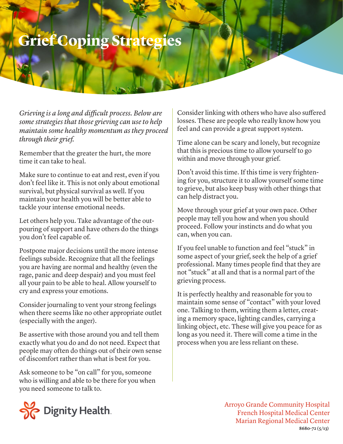## **Grief Coping Strategies**

*Grieving is a long and difficult process. Below are some strategies that those grieving can use to help maintain some healthy momentum as they proceed through their grief.*

Remember that the greater the hurt, the more time it can take to heal.

Make sure to continue to eat and rest, even if you don't feel like it. This is not only about emotional survival, but physical survival as well. If you maintain your health you will be better able to tackle your intense emotional needs.

Let others help you. Take advantage of the outpouring of support and have others do the things you don't feel capable of.

Postpone major decisions until the more intense feelings subside. Recognize that all the feelings you are having are normal and healthy (even the rage, panic and deep despair) and you must feel all your pain to be able to heal. Allow yourself to cry and express your emotions.

Consider journaling to vent your strong feelings when there seems like no other appropriate outlet (especially with the anger).

Be assertive with those around you and tell them exactly what you do and do not need. Expect that people may often do things out of their own sense of discomfort rather than what is best for you.

Ask someone to be "on call" for you, someone who is willing and able to be there for you when you need someone to talk to.



Time alone can be scary and lonely, but recognize that this is precious time to allow yourself to go within and move through your grief.

Don't avoid this time. If this time is very frightening for you, structure it to allow yourself some time to grieve, but also keep busy with other things that can help distract you.

Move through your grief at your own pace. Other people may tell you how and when you should proceed. Follow your instincts and do what you can, when you can.

If you feel unable to function and feel "stuck" in some aspect of your grief, seek the help of a grief professional. Many times people find that they are not "stuck" at all and that is a normal part of the grieving process.

It is perfectly healthy and reasonable for you to maintain some sense of "contact" with your loved one. Talking to them, writing them a letter, creating a memory space, lighting candles, carrying a linking object, etc. These will give you peace for as long as you need it. There will come a time in the process when you are less reliant on these.



Arroyo Grande Community Hospital French Hospital Medical Center Marian Regional Medical Center **8680-72 (5/13)**